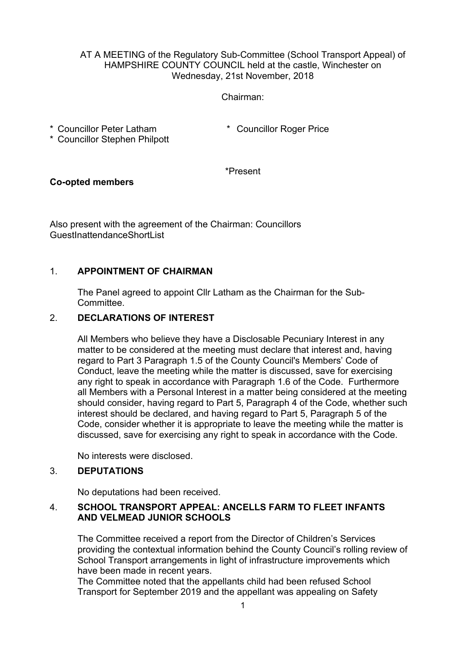#### AT A MEETING of the Regulatory Sub-Committee (School Transport Appeal) of HAMPSHIRE COUNTY COUNCIL held at the castle, Winchester on Wednesday, 21st November, 2018

#### Chairman:

\* Councillor Peter Latham

\* Councillor Roger Price

\* Councillor Stephen Philpott

\*Present

## **Co-opted members**

Also present with the agreement of the Chairman: Councillors GuestInattendanceShortList

## 1. **APPOINTMENT OF CHAIRMAN**

The Panel agreed to appoint Cllr Latham as the Chairman for the Sub-Committee.

## 2. **DECLARATIONS OF INTEREST**

All Members who believe they have a Disclosable Pecuniary Interest in any matter to be considered at the meeting must declare that interest and, having regard to Part 3 Paragraph 1.5 of the County Council's Members' Code of Conduct, leave the meeting while the matter is discussed, save for exercising any right to speak in accordance with Paragraph 1.6 of the Code. Furthermore all Members with a Personal Interest in a matter being considered at the meeting should consider, having regard to Part 5, Paragraph 4 of the Code, whether such interest should be declared, and having regard to Part 5, Paragraph 5 of the Code, consider whether it is appropriate to leave the meeting while the matter is discussed, save for exercising any right to speak in accordance with the Code.

No interests were disclosed.

### 3. **DEPUTATIONS**

No deputations had been received.

### 4. **SCHOOL TRANSPORT APPEAL: ANCELLS FARM TO FLEET INFANTS AND VELMEAD JUNIOR SCHOOLS**

The Committee received a report from the Director of Children's Services providing the contextual information behind the County Council's rolling review of School Transport arrangements in light of infrastructure improvements which have been made in recent years.

The Committee noted that the appellants child had been refused School Transport for September 2019 and the appellant was appealing on Safety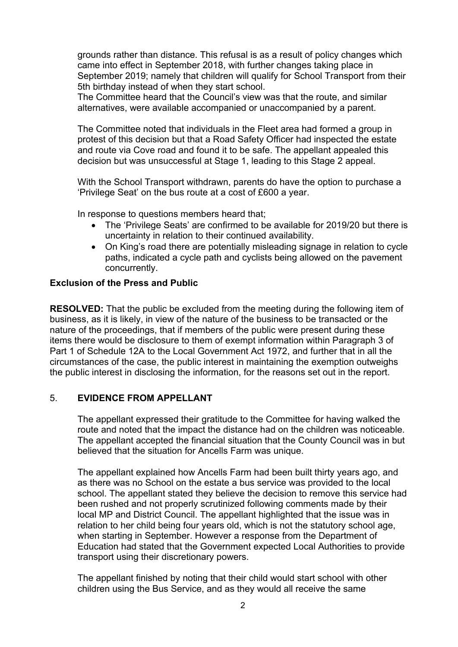grounds rather than distance. This refusal is as a result of policy changes which came into effect in September 2018, with further changes taking place in September 2019; namely that children will qualify for School Transport from their 5th birthday instead of when they start school.

The Committee heard that the Council's view was that the route, and similar alternatives, were available accompanied or unaccompanied by a parent.

The Committee noted that individuals in the Fleet area had formed a group in protest of this decision but that a Road Safety Officer had inspected the estate and route via Cove road and found it to be safe. The appellant appealed this decision but was unsuccessful at Stage 1, leading to this Stage 2 appeal.

With the School Transport withdrawn, parents do have the option to purchase a 'Privilege Seat' on the bus route at a cost of £600 a year.

In response to questions members heard that;

- The 'Privilege Seats' are confirmed to be available for 2019/20 but there is uncertainty in relation to their continued availability.
- On King's road there are potentially misleading signage in relation to cycle paths, indicated a cycle path and cyclists being allowed on the pavement concurrently.

### **Exclusion of the Press and Public**

**RESOLVED:** That the public be excluded from the meeting during the following item of business, as it is likely, in view of the nature of the business to be transacted or the nature of the proceedings, that if members of the public were present during these items there would be disclosure to them of exempt information within Paragraph 3 of Part 1 of Schedule 12A to the Local Government Act 1972, and further that in all the circumstances of the case, the public interest in maintaining the exemption outweighs the public interest in disclosing the information, for the reasons set out in the report.

### 5. **EVIDENCE FROM APPELLANT**

The appellant expressed their gratitude to the Committee for having walked the route and noted that the impact the distance had on the children was noticeable. The appellant accepted the financial situation that the County Council was in but believed that the situation for Ancells Farm was unique.

The appellant explained how Ancells Farm had been built thirty years ago, and as there was no School on the estate a bus service was provided to the local school. The appellant stated they believe the decision to remove this service had been rushed and not properly scrutinized following comments made by their local MP and District Council. The appellant highlighted that the issue was in relation to her child being four years old, which is not the statutory school age, when starting in September. However a response from the Department of Education had stated that the Government expected Local Authorities to provide transport using their discretionary powers.

The appellant finished by noting that their child would start school with other children using the Bus Service, and as they would all receive the same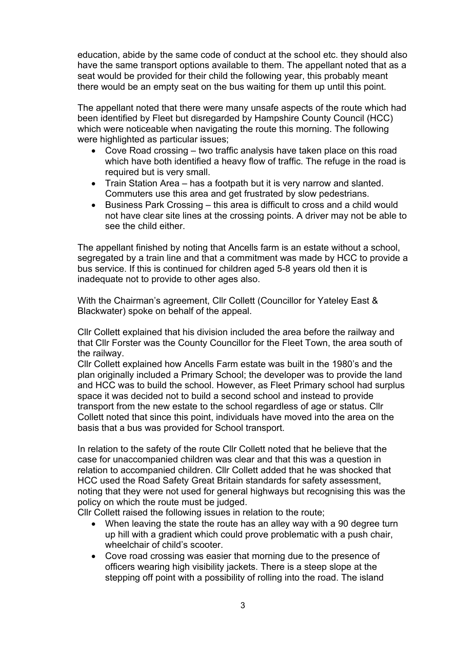education, abide by the same code of conduct at the school etc. they should also have the same transport options available to them. The appellant noted that as a seat would be provided for their child the following year, this probably meant there would be an empty seat on the bus waiting for them up until this point.

The appellant noted that there were many unsafe aspects of the route which had been identified by Fleet but disregarded by Hampshire County Council (HCC) which were noticeable when navigating the route this morning. The following were highlighted as particular issues;

- Cove Road crossing two traffic analysis have taken place on this road which have both identified a heavy flow of traffic. The refuge in the road is required but is very small.
- Train Station Area has a footpath but it is very narrow and slanted. Commuters use this area and get frustrated by slow pedestrians.
- Business Park Crossing this area is difficult to cross and a child would not have clear site lines at the crossing points. A driver may not be able to see the child either.

The appellant finished by noting that Ancells farm is an estate without a school, segregated by a train line and that a commitment was made by HCC to provide a bus service. If this is continued for children aged 5-8 years old then it is inadequate not to provide to other ages also.

With the Chairman's agreement, Cllr Collett (Councillor for Yateley East & Blackwater) spoke on behalf of the appeal.

Cllr Collett explained that his division included the area before the railway and that Cllr Forster was the County Councillor for the Fleet Town, the area south of the railway.

Cllr Collett explained how Ancells Farm estate was built in the 1980's and the plan originally included a Primary School; the developer was to provide the land and HCC was to build the school. However, as Fleet Primary school had surplus space it was decided not to build a second school and instead to provide transport from the new estate to the school regardless of age or status. Cllr Collett noted that since this point, individuals have moved into the area on the basis that a bus was provided for School transport.

In relation to the safety of the route Cllr Collett noted that he believe that the case for unaccompanied children was clear and that this was a question in relation to accompanied children. Cllr Collett added that he was shocked that HCC used the Road Safety Great Britain standards for safety assessment, noting that they were not used for general highways but recognising this was the policy on which the route must be judged.

Cllr Collett raised the following issues in relation to the route;

- When leaving the state the route has an alley way with a 90 degree turn up hill with a gradient which could prove problematic with a push chair, wheelchair of child's scooter.
- Cove road crossing was easier that morning due to the presence of officers wearing high visibility jackets. There is a steep slope at the stepping off point with a possibility of rolling into the road. The island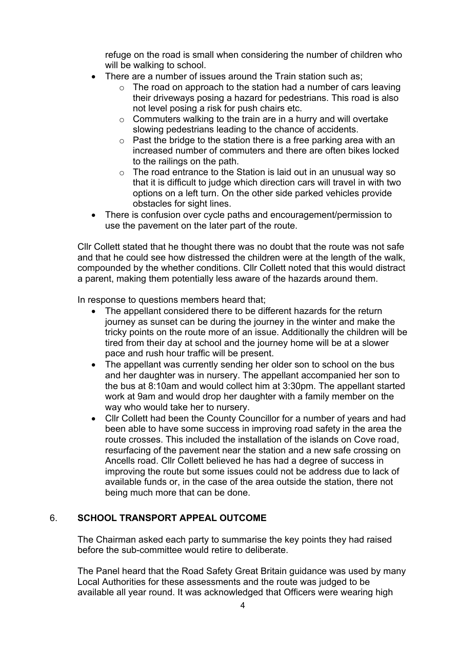refuge on the road is small when considering the number of children who will be walking to school.

- There are a number of issues around the Train station such as;
	- $\circ$  The road on approach to the station had a number of cars leaving their driveways posing a hazard for pedestrians. This road is also not level posing a risk for push chairs etc.
	- o Commuters walking to the train are in a hurry and will overtake slowing pedestrians leading to the chance of accidents.
	- $\circ$  Past the bridge to the station there is a free parking area with an increased number of commuters and there are often bikes locked to the railings on the path.
	- $\circ$  The road entrance to the Station is laid out in an unusual way so that it is difficult to judge which direction cars will travel in with two options on a left turn. On the other side parked vehicles provide obstacles for sight lines.
- There is confusion over cycle paths and encouragement/permission to use the pavement on the later part of the route.

Cllr Collett stated that he thought there was no doubt that the route was not safe and that he could see how distressed the children were at the length of the walk, compounded by the whether conditions. Cllr Collett noted that this would distract a parent, making them potentially less aware of the hazards around them.

In response to questions members heard that;

- The appellant considered there to be different hazards for the return journey as sunset can be during the journey in the winter and make the tricky points on the route more of an issue. Additionally the children will be tired from their day at school and the journey home will be at a slower pace and rush hour traffic will be present.
- The appellant was currently sending her older son to school on the bus and her daughter was in nursery. The appellant accompanied her son to the bus at 8:10am and would collect him at 3:30pm. The appellant started work at 9am and would drop her daughter with a family member on the way who would take her to nursery.
- Cllr Collett had been the County Councillor for a number of years and had been able to have some success in improving road safety in the area the route crosses. This included the installation of the islands on Cove road, resurfacing of the pavement near the station and a new safe crossing on Ancells road. Cllr Collett believed he has had a degree of success in improving the route but some issues could not be address due to lack of available funds or, in the case of the area outside the station, there not being much more that can be done.

# 6. **SCHOOL TRANSPORT APPEAL OUTCOME**

The Chairman asked each party to summarise the key points they had raised before the sub-committee would retire to deliberate.

The Panel heard that the Road Safety Great Britain guidance was used by many Local Authorities for these assessments and the route was judged to be available all year round. It was acknowledged that Officers were wearing high